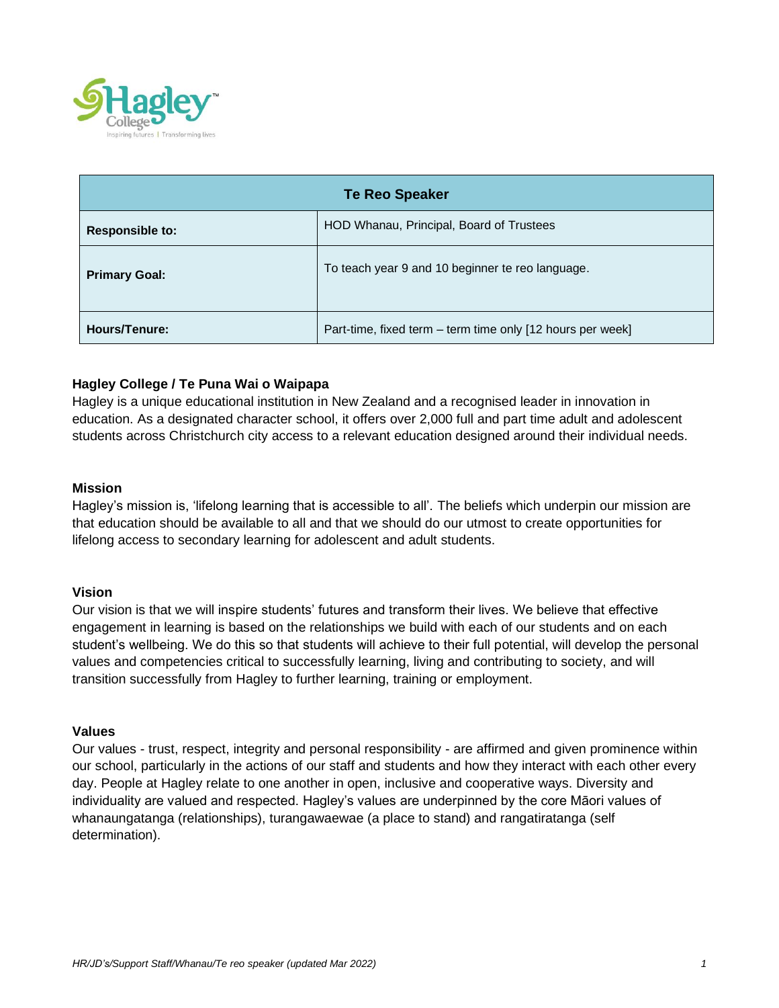

| <b>Te Reo Speaker</b>  |                                                            |
|------------------------|------------------------------------------------------------|
| <b>Responsible to:</b> | HOD Whanau, Principal, Board of Trustees                   |
| <b>Primary Goal:</b>   | To teach year 9 and 10 beginner te reo language.           |
| <b>Hours/Tenure:</b>   | Part-time, fixed term – term time only [12 hours per week] |

# **Hagley College / Te Puna Wai o Waipapa**

Hagley is a unique educational institution in New Zealand and a recognised leader in innovation in education. As a designated character school, it offers over 2,000 full and part time adult and adolescent students across Christchurch city access to a relevant education designed around their individual needs.

### **Mission**

Hagley's mission is, 'lifelong learning that is accessible to all'. The beliefs which underpin our mission are that education should be available to all and that we should do our utmost to create opportunities for lifelong access to secondary learning for adolescent and adult students.

## **Vision**

Our vision is that we will inspire students' futures and transform their lives. We believe that effective engagement in learning is based on the relationships we build with each of our students and on each student's wellbeing. We do this so that students will achieve to their full potential, will develop the personal values and competencies critical to successfully learning, living and contributing to society, and will transition successfully from Hagley to further learning, training or employment.

#### **Values**

Our values - trust, respect, integrity and personal responsibility - are affirmed and given prominence within our school, particularly in the actions of our staff and students and how they interact with each other every day. People at Hagley relate to one another in open, inclusive and cooperative ways. Diversity and individuality are valued and respected. Hagley's values are underpinned by the core Māori values of whanaungatanga (relationships), turangawaewae (a place to stand) and rangatiratanga (self determination).